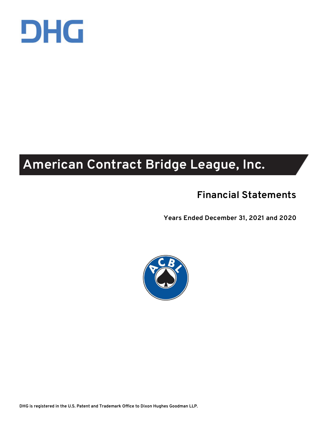

# **American Contract Bridge League, Inc.**

# **Financial Statements**

**Years Ended December 31, 2021 and 2020** 

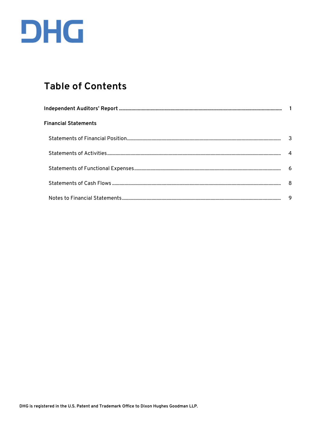

# **Table of Contents**

| <b>Financial Statements</b> |    |
|-----------------------------|----|
|                             |    |
|                             |    |
|                             | -6 |
|                             |    |
|                             | 9  |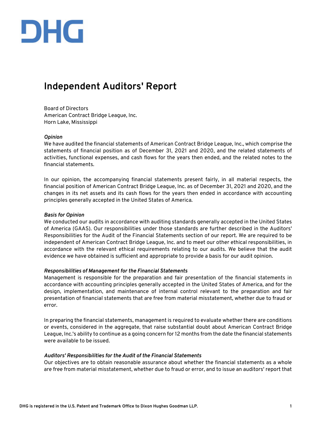

# **Independent Auditors' Report**

Board of Directors American Contract Bridge League, Inc. Horn Lake, Mississippi

#### *Opinion*

We have audited the financial statements of American Contract Bridge League, Inc., which comprise the statements of financial position as of December 31, 2021 and 2020, and the related statements of activities, functional expenses, and cash flows for the years then ended, and the related notes to the financial statements.

In our opinion, the accompanying financial statements present fairly, in all material respects, the financial position of American Contract Bridge League, Inc. as of December 31, 2021 and 2020, and the changes in its net assets and its cash flows for the years then ended in accordance with accounting principles generally accepted in the United States of America.

#### *Basis for Opinion*

We conducted our audits in accordance with auditing standards generally accepted in the United States of America (GAAS). Our responsibilities under those standards are further described in the Auditors' Responsibilities for the Audit of the Financial Statements section of our report. We are required to be independent of American Contract Bridge League, Inc. and to meet our other ethical responsibilities, in accordance with the relevant ethical requirements relating to our audits. We believe that the audit evidence we have obtained is sufficient and appropriate to provide a basis for our audit opinion.

#### *Responsibilities of Management for the Financial Statements*

Management is responsible for the preparation and fair presentation of the financial statements in accordance with accounting principles generally accepted in the United States of America, and for the design, implementation, and maintenance of internal control relevant to the preparation and fair presentation of financial statements that are free from material misstatement, whether due to fraud or error.

In preparing the financial statements, management is required to evaluate whether there are conditions or events, considered in the aggregate, that raise substantial doubt about American Contract Bridge League, Inc.'s ability to continue as a going concern for 12 months from the date the financial statements were available to be issued.

#### *Auditors' Responsibilities for the Audit of the Financial Statements*

Our objectives are to obtain reasonable assurance about whether the financial statements as a whole are free from material misstatement, whether due to fraud or error, and to issue an auditors' report that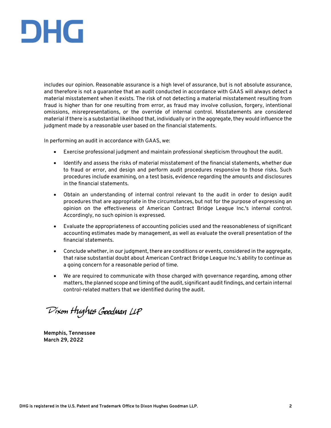

includes our opinion. Reasonable assurance is a high level of assurance, but is not absolute assurance, and therefore is not a guarantee that an audit conducted in accordance with GAAS will always detect a material misstatement when it exists. The risk of not detecting a material misstatement resulting from fraud is higher than for one resulting from error, as fraud may involve collusion, forgery, intentional omissions, misrepresentations, or the override of internal control. Misstatements are considered material if there is a substantial likelihood that, individually or in the aggregate, they would influence the judgment made by a reasonable user based on the financial statements.

In performing an audit in accordance with GAAS, we:

- Exercise professional judgment and maintain professional skepticism throughout the audit.
- Identify and assess the risks of material misstatement of the financial statements, whether due to fraud or error, and design and perform audit procedures responsive to those risks. Such procedures include examining, on a test basis, evidence regarding the amounts and disclosures in the financial statements.
- Obtain an understanding of internal control relevant to the audit in order to design audit procedures that are appropriate in the circumstances, but not for the purpose of expressing an opinion on the effectiveness of American Contract Bridge League Inc.'s internal control. Accordingly, no such opinion is expressed.
- Evaluate the appropriateness of accounting policies used and the reasonableness of significant accounting estimates made by management, as well as evaluate the overall presentation of the financial statements.
- Conclude whether, in our judgment, there are conditions or events, considered in the aggregate, that raise substantial doubt about American Contract Bridge League Inc.'s ability to continue as a going concern for a reasonable period of time.
- We are required to communicate with those charged with governance regarding, among other matters, the planned scope and timing of the audit, significant audit findings, and certain internal control-related matters that we identified during the audit.

Dixon Hughes Goodman LLP

**Memphis, Tennessee March 29, 2022**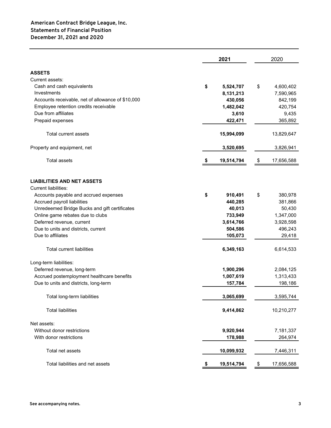|                                                   |    | 2020       |                  |
|---------------------------------------------------|----|------------|------------------|
| <b>ASSETS</b>                                     |    |            |                  |
| Current assets:                                   |    |            |                  |
| Cash and cash equivalents                         | \$ | 5,524,707  | \$<br>4,600,402  |
| Investments                                       |    | 8,131,213  | 7,590,965        |
| Accounts receivable, net of allowance of \$10,000 |    | 430,056    | 842,199          |
| Employee retention credits receivable             |    | 1,482,042  | 420,754          |
| Due from affiliates                               |    | 3,610      | 9,435            |
| Prepaid expenses                                  |    | 422,471    | 365,892          |
|                                                   |    |            |                  |
| <b>Total current assets</b>                       |    | 15,994,099 | 13,829,647       |
| Property and equipment, net                       |    | 3,520,695  | 3,826,941        |
| <b>Total assets</b>                               |    | 19,514,794 | \$<br>17,656,588 |
| <b>LIABILITIES AND NET ASSETS</b>                 |    |            |                  |
| <b>Current liabilities:</b>                       |    |            |                  |
|                                                   |    |            |                  |
| Accounts payable and accrued expenses             | \$ | 910,491    | \$<br>380,978    |
| Accrued payroll liabilities                       |    | 440,285    | 381,866          |
| Unredeemed Bridge Bucks and gift certificates     |    | 40,013     | 50,430           |
| Online game rebates due to clubs                  |    | 733,949    | 1,347,000        |
| Deferred revenue, current                         |    | 3,614,766  | 3,928,598        |
| Due to units and districts, current               |    | 504,586    | 496,243          |
| Due to affiliates                                 |    | 105,073    | 29,418           |
| <b>Total current liabilities</b>                  |    | 6,349,163  | 6,614,533        |
| Long-term liabilities:                            |    |            |                  |
| Deferred revenue, long-term                       |    | 1,900,296  | 2,084,125        |
| Accrued postemployment healthcare benefits        |    | 1,007,619  | 1,313,433        |
| Due to units and districts, long-term             |    | 157,784    | 198,186          |
| Total long-term liabilities                       |    | 3,065,699  | 3,595,744        |
| <b>Total liabilities</b>                          |    | 9,414,862  | 10,210,277       |
| Net assets:                                       |    |            |                  |
| Without donor restrictions                        |    | 9,920,944  | 7,181,337        |
| With donor restrictions                           |    | 178,988    | 264,974          |
| Total net assets                                  |    | 10,099,932 | 7,446,311        |
| Total liabilities and net assets                  | \$ | 19,514,794 | \$<br>17,656,588 |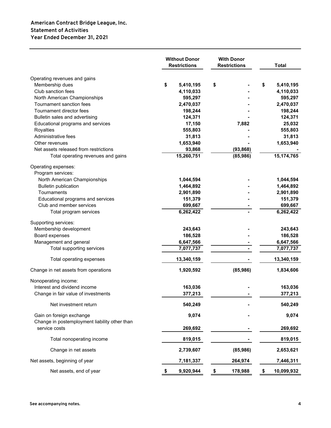# **American Contract Bridge League, Inc. Statement of Activities Year Ended December 31, 2021**

|                                                    | <b>Without Donor</b><br><b>Restrictions</b> | <b>With Donor</b><br><b>Restrictions</b> | <b>Total</b>         |
|----------------------------------------------------|---------------------------------------------|------------------------------------------|----------------------|
| Operating revenues and gains                       |                                             |                                          |                      |
| Membership dues                                    | \$<br>5,410,195                             | \$                                       | \$<br>5,410,195      |
| Club sanction fees                                 | 4,110,033                                   |                                          | 4,110,033            |
| North American Championships                       | 595,297                                     |                                          | 595,297              |
| Tournament sanction fees                           | 2,470,037                                   |                                          | 2,470,037            |
| Tournament director fees                           | 198,244                                     |                                          | 198,244              |
| Bulletin sales and advertising                     | 124,371                                     |                                          | 124,371              |
| Educational programs and services                  | 17,150                                      | 7,882                                    | 25,032               |
| Royalties                                          | 555,803                                     |                                          | 555,803              |
| Administrative fees                                | 31,813                                      |                                          | 31,813               |
| Other revenues                                     | 1,653,940                                   |                                          | 1,653,940            |
| Net assets released from restrictions              | 93,868                                      | (93, 868)                                |                      |
| Total operating revenues and gains                 | 15,260,751                                  | (85, 986)                                | 15,174,765           |
| Operating expenses:<br>Program services:           |                                             |                                          |                      |
| North American Championships                       | 1,044,594                                   |                                          | 1,044,594            |
| <b>Bulletin publication</b>                        | 1,464,892                                   |                                          |                      |
| Tournaments                                        |                                             |                                          | 1,464,892            |
|                                                    | 2,901,890                                   |                                          | 2,901,890            |
| Educational programs and services                  | 151,379                                     |                                          | 151,379              |
| Club and member services<br>Total program services | 699,667<br>6,262,422                        |                                          | 699,667<br>6,262,422 |
| Supporting services:                               |                                             |                                          |                      |
| Membership development                             | 243,643                                     |                                          | 243,643              |
| Board expenses                                     | 186,528                                     |                                          | 186,528              |
| Management and general                             | 6,647,566                                   |                                          | 6,647,566            |
| Total supporting services                          | 7,077,737                                   |                                          | 7,077,737            |
| Total operating expenses                           | 13,340,159                                  |                                          | 13,340,159           |
| Change in net assets from operations               | 1,920,592                                   | (85, 986)                                | 1,834,606            |
| Nonoperating income:                               |                                             |                                          |                      |
| Interest and dividend income                       | 163,036                                     |                                          | 163,036              |
| Change in fair value of investments                | 377,213                                     |                                          | 377,213              |
| Net investment return                              | 540,249                                     |                                          | 540,249              |
| Gain on foreign exchange                           | 9,074                                       |                                          | 9,074                |
| Change in postemployment liability other than      |                                             |                                          |                      |
| service costs                                      | 269,692                                     |                                          | 269,692              |
| Total nonoperating income                          | 819,015                                     |                                          | 819,015              |
| Change in net assets                               | 2,739,607                                   | (85, 986)                                | 2,653,621            |
| Net assets, beginning of year                      | 7,181,337                                   | 264,974                                  | 7,446,311            |
| Net assets, end of year                            | 9,920,944<br>\$                             | \$<br>178,988                            | \$<br>10,099,932     |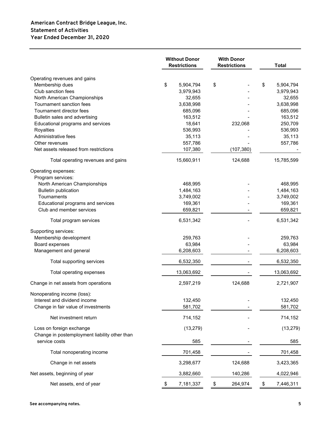# **American Contract Bridge League, Inc. Statement of Activities Year Ended December 31, 2020**

|                                               | <b>Without Donor</b><br><b>With Donor</b><br><b>Restrictions</b><br><b>Restrictions</b> |    |            |    | <b>Total</b>         |
|-----------------------------------------------|-----------------------------------------------------------------------------------------|----|------------|----|----------------------|
| Operating revenues and gains                  |                                                                                         |    |            |    |                      |
| Membership dues                               | \$<br>5,904,794                                                                         | \$ |            | \$ | 5,904,794            |
| Club sanction fees                            | 3,979,943                                                                               |    |            |    | 3,979,943            |
| North American Championships                  | 32,655                                                                                  |    |            |    | 32,655               |
| Tournament sanction fees                      | 3,638,998                                                                               |    |            |    | 3,638,998            |
| Tournament director fees                      | 685,096                                                                                 |    |            |    | 685,096              |
| Bulletin sales and advertising                | 163,512                                                                                 |    |            |    | 163,512              |
| Educational programs and services             | 18,641                                                                                  |    | 232,068    |    | 250,709              |
| Royalties                                     | 536,993                                                                                 |    |            |    | 536,993              |
| Administrative fees                           | 35,113                                                                                  |    |            |    | 35,113               |
| Other revenues                                | 557,786                                                                                 |    |            |    | 557,786              |
| Net assets released from restrictions         | 107,380                                                                                 |    | (107, 380) |    |                      |
| Total operating revenues and gains            | 15,660,911                                                                              |    | 124,688    |    | 15,785,599           |
| Operating expenses:                           |                                                                                         |    |            |    |                      |
| Program services:                             |                                                                                         |    |            |    |                      |
| North American Championships                  | 468,995                                                                                 |    |            |    | 468,995              |
| <b>Bulletin publication</b><br>Tournaments    | 1,484,163                                                                               |    |            |    | 1,484,163            |
|                                               | 3,749,002<br>169,361                                                                    |    |            |    | 3,749,002<br>169,361 |
| Educational programs and services             |                                                                                         |    |            |    |                      |
| Club and member services                      | 659,821                                                                                 |    |            |    | 659,821              |
| Total program services                        | 6,531,342                                                                               |    |            |    | 6,531,342            |
| Supporting services:                          |                                                                                         |    |            |    |                      |
| Membership development                        | 259,763                                                                                 |    |            |    | 259,763              |
| Board expenses                                | 63,984                                                                                  |    |            |    | 63,984               |
| Management and general                        | 6,208,603                                                                               |    |            |    | 6,208,603            |
| Total supporting services                     | 6,532,350                                                                               |    |            |    | 6,532,350            |
| Total operating expenses                      | 13,063,692                                                                              |    |            |    | 13,063,692           |
| Change in net assets from operations          | 2,597,219                                                                               |    | 124,688    |    | 2,721,907            |
| Nonoperating income (loss):                   |                                                                                         |    |            |    |                      |
| Interest and dividend income                  | 132,450                                                                                 |    |            |    | 132,450              |
| Change in fair value of investments           | 581,702                                                                                 |    |            |    | 581,702              |
| Net investment return                         | 714,152                                                                                 |    |            |    | 714,152              |
| Loss on foreign exchange                      | (13, 279)                                                                               |    |            |    | (13, 279)            |
| Change in postemployment liability other than |                                                                                         |    |            |    |                      |
| service costs                                 | 585                                                                                     |    |            |    | 585                  |
| Total nonoperating income                     | 701,458                                                                                 |    |            |    | 701,458              |
| Change in net assets                          | 3,298,677                                                                               |    | 124,688    |    | 3,423,365            |
| Net assets, beginning of year                 | 3,882,660                                                                               |    | 140,286    |    | 4,022,946            |
| Net assets, end of year                       | \$<br>7,181,337                                                                         | \$ | 264,974    | \$ | 7,446,311            |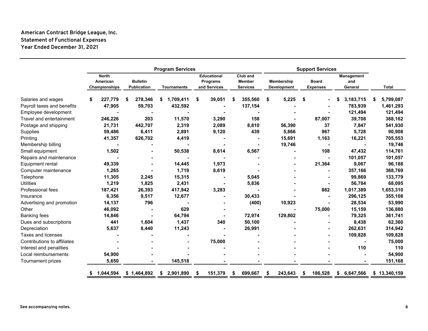# **American Contract Bridge League, Inc. Statement of Functional Expenses Year Ended December 31, 2021**

|                             | <b>Program Services</b> |                                           |  |                                       |    |                    |    |                                                | <b>Support Services</b> |                                              |    |                           |    |                                 |   |                              |  |              |
|-----------------------------|-------------------------|-------------------------------------------|--|---------------------------------------|----|--------------------|----|------------------------------------------------|-------------------------|----------------------------------------------|----|---------------------------|----|---------------------------------|---|------------------------------|--|--------------|
|                             |                         | <b>North</b><br>American<br>Championships |  | <b>Bulletin</b><br><b>Publication</b> |    | <b>Tournaments</b> |    | <b>Educational</b><br>Programs<br>and Services |                         | Club and<br><b>Member</b><br><b>Services</b> |    | Membership<br>Development |    | <b>Board</b><br><b>Expenses</b> |   | Management<br>and<br>General |  | <b>Total</b> |
| Salaries and wages          |                         | 227,779                                   |  | 278,346                               | \$ | 1,709,411          | \$ | 39,051                                         | \$                      | 355,560                                      | \$ | 5,225                     | \$ |                                 |   | 3,183,715                    |  | 5,799,087    |
| Payroll taxes and benefits  |                         | 47,905                                    |  | 59,703                                |    | 432,592            |    |                                                |                         | 137,154                                      |    |                           |    |                                 |   | 783,939                      |  | 1,461,293    |
| Employee development        |                         |                                           |  |                                       |    |                    |    |                                                |                         |                                              |    |                           |    |                                 |   | 121,494                      |  | 121,494      |
| Travel and entertainment    |                         | 246,226                                   |  | 203                                   |    | 11,570             |    | 3,290                                          |                         | 158                                          |    |                           |    | 87,007                          |   | 39,708                       |  | 388,162      |
| Postage and shipping        |                         | 21,731                                    |  | 442,707                               |    | 2,319              |    | 2,089                                          |                         | 8,810                                        |    | 56,390                    |    | 37                              |   | 7,847                        |  | 541,930      |
| Supplies                    |                         | 59,486                                    |  | 6,411                                 |    | 2,891              |    | 9,120                                          |                         | 439                                          |    | 5,866                     |    | 967                             |   | 5,728                        |  | 90,908       |
| Printing                    |                         | 41,357                                    |  | 626,702                               |    | 4,419              |    |                                                |                         |                                              |    | 15,691                    |    | 1,163                           |   | 16,221                       |  | 705,553      |
| Membership billing          |                         |                                           |  |                                       |    |                    |    |                                                |                         |                                              |    | 19,746                    |    |                                 |   |                              |  | 19,746       |
| Small equipment             |                         | 1,502                                     |  |                                       |    | 50,538             |    | 8,614                                          |                         | 6,567                                        |    |                           |    | 108                             |   | 47,432                       |  | 114,761      |
| Repairs and maintenance     |                         |                                           |  |                                       |    |                    |    |                                                |                         |                                              |    |                           |    |                                 |   | 101,057                      |  | 101,057      |
| Equipment rental            |                         | 49,339                                    |  |                                       |    | 14,445             |    | 1,973                                          |                         |                                              |    |                           |    | 21,364                          |   | 9,067                        |  | 96,188       |
| Computer maintenance        |                         | 1,265                                     |  |                                       |    | 1,719              |    | 8,619                                          |                         |                                              |    |                           |    |                                 |   | 357,166                      |  | 368,769      |
| Telephone                   |                         | 11,305                                    |  | 2,245                                 |    | 15,315             |    |                                                |                         | 5,045                                        |    |                           |    |                                 |   | 99,869                       |  | 133,779      |
| <b>Utilities</b>            |                         | 1,219                                     |  | 1,825                                 |    | 2,431              |    |                                                |                         | 5,836                                        |    |                           |    |                                 |   | 56,784                       |  | 68,095       |
| Professional fees           |                         | 187,421                                   |  | 26,393                                |    | 417,942            |    | 3,283                                          |                         |                                              |    |                           |    | 882                             |   | 1,017,389                    |  | 1,653,310    |
| Insurance                   |                         | 6,356                                     |  | 9,517                                 |    | 12,677             |    |                                                |                         | 30,433                                       |    |                           |    |                                 |   | 296,125                      |  | 355,108      |
| Advertising and promotion   |                         | 14,137                                    |  | 796                                   |    |                    |    |                                                |                         | (400)                                        |    | 10,923                    |    |                                 |   | 28,534                       |  | 53,990       |
| Other                       |                         | 46,092                                    |  |                                       |    | 629                |    |                                                |                         |                                              |    |                           |    | 75,000                          |   | 15,159                       |  | 136,880      |
| <b>Banking fees</b>         |                         | 14,846                                    |  |                                       |    | 64,794             |    |                                                |                         | 72,974                                       |    | 129,802                   |    |                                 |   | 79,325                       |  | 361,741      |
| Dues and subscriptions      |                         | 441                                       |  | 1,604                                 |    | 1,437              |    | 340                                            |                         | 50,100                                       |    |                           |    |                                 |   | 8,438                        |  | 62,360       |
| Depreciation                |                         | 5,637                                     |  | 8,440                                 |    | 11,243             |    |                                                |                         | 26,991                                       |    |                           |    |                                 |   | 262,631                      |  | 314,942      |
| <b>Taxes and licenses</b>   |                         |                                           |  |                                       |    |                    |    |                                                |                         |                                              |    |                           |    |                                 |   | 109,828                      |  | 109,828      |
| Contributions to affiliates |                         |                                           |  |                                       |    |                    |    | 75,000                                         |                         |                                              |    |                           |    |                                 |   |                              |  | 75,000       |
| Interest and penalities     |                         |                                           |  |                                       |    |                    |    |                                                |                         |                                              |    |                           |    |                                 |   | 110                          |  | 110          |
| Local reimbursements        |                         | 54,900                                    |  |                                       |    |                    |    |                                                |                         |                                              |    |                           |    |                                 |   |                              |  | 54,900       |
| <b>Tournament prizes</b>    |                         | 5,650                                     |  |                                       |    | 145,518            |    |                                                |                         |                                              |    |                           |    |                                 |   |                              |  | 151,168      |
|                             |                         | 1,044,594                                 |  | \$1,464,892                           | \$ | 2,901,890          | \$ | 151,379                                        | \$                      | 699,667                                      | S  | 243,643                   | \$ | 186,528                         | S | 6,647,566                    |  | \$13,340,159 |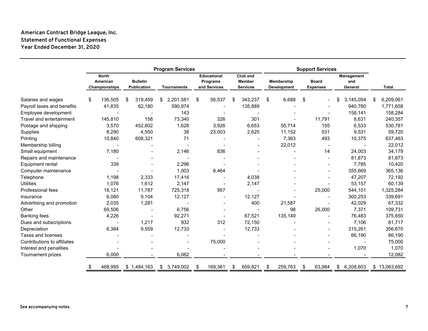# **American Contract Bridge League, Inc. Statement of Functional Expenses Year Ended December 31, 2020**

|                             | <b>Program Services</b> |                                           |   |                                       |    |                    |      |                                                | <b>Support Services</b>                      |    |                                  |                                 |        |                              |           |   |              |
|-----------------------------|-------------------------|-------------------------------------------|---|---------------------------------------|----|--------------------|------|------------------------------------------------|----------------------------------------------|----|----------------------------------|---------------------------------|--------|------------------------------|-----------|---|--------------|
|                             |                         | <b>North</b><br>American<br>Championships |   | <b>Bulletin</b><br><b>Publication</b> |    | <b>Tournaments</b> |      | <b>Educational</b><br>Programs<br>and Services | Club and<br><b>Member</b><br><b>Services</b> |    | Membership<br><b>Development</b> | <b>Board</b><br><b>Expenses</b> |        | Management<br>and<br>General |           |   | <b>Total</b> |
| Salaries and wages          | \$                      | 136,505                                   | S | 319,459                               | \$ | 2,201,581          | \$   | 56,537                                         | \$<br>343,237                                | \$ | 6,688                            | \$                              |        |                              | 3,145,054 | S | 6,209,061    |
| Payroll taxes and benefits  |                         | 41,835                                    |   | 62,180                                |    | 590,974            |      |                                                | 135,889                                      |    |                                  |                                 |        |                              | 940,780   |   | 1,771,658    |
| Employee development        |                         |                                           |   |                                       |    | 143                |      |                                                |                                              |    |                                  |                                 |        |                              | 158,141   |   | 158,284      |
| Travel and entertainment    |                         | 145,810                                   |   | 158                                   |    | 73,340             |      | 326                                            | 301                                          |    |                                  |                                 | 11,791 |                              | 8,631     |   | 240,357      |
| Postage and shipping        |                         | 3,570                                     |   | 452,602                               |    | 1,628              |      | 3,926                                          | 6,653                                        |    | 55,714                           |                                 | 155    |                              | 6,533     |   | 530,781      |
| Supplies                    |                         | 8,290                                     |   | 4,550                                 |    | 38                 |      | 23,003                                         | 2,625                                        |    | 11,152                           |                                 | 531    |                              | 9,531     |   | 59,720       |
| Printing                    |                         | 10,840                                    |   | 608,321                               |    | 71                 |      |                                                |                                              |    | 7,363                            |                                 | 493    |                              | 10,375    |   | 637,463      |
| Membership billing          |                         |                                           |   |                                       |    |                    |      |                                                |                                              |    | 22,012                           |                                 |        |                              |           |   | 22,012       |
| Small equipment             |                         | 7,180                                     |   |                                       |    | 2,146              |      | 836                                            |                                              |    |                                  |                                 | 14     |                              | 24,003    |   | 34,179       |
| Repairs and maintenance     |                         |                                           |   |                                       |    |                    |      |                                                |                                              |    |                                  |                                 |        |                              | 81,873    |   | 81,873       |
| Equipment rental            |                         | 339                                       |   |                                       |    | 2,296              |      |                                                |                                              |    |                                  |                                 |        |                              | 7,785     |   | 10,420       |
| Computer maintenance        |                         |                                           |   |                                       |    | 1,003              |      | 8,464                                          |                                              |    |                                  |                                 |        |                              | 355,669   |   | 365,136      |
| Telephone                   |                         | 1,198                                     |   | 2,333                                 |    | 17,416             |      |                                                | 4,038                                        |    |                                  |                                 |        |                              | 47,207    |   | 72,192       |
| <b>Utilities</b>            |                         | 1,076                                     |   | 1,612                                 |    | 2,147              |      |                                                | 2,147                                        |    |                                  |                                 |        |                              | 53,157    |   | 60,139       |
| Professional fees           |                         | 18,121                                    |   | 11,787                                |    | 725,318            |      | 957                                            |                                              |    |                                  |                                 | 25,000 |                              | 544,101   |   | 1,325,284    |
| Insurance                   |                         | 6,080                                     |   | 9,104                                 |    | 12,127             |      |                                                | 12,127                                       |    |                                  |                                 |        |                              | 300,253   |   | 339,691      |
| Advertising and promotion   |                         | 2,035                                     |   | 1,281                                 |    |                    |      |                                                | 400                                          |    | 21,587                           |                                 |        |                              | 42,029    |   | 67,332       |
| Other                       |                         | 69,506                                    |   |                                       |    | 6,756              |      |                                                |                                              |    | 98                               |                                 | 26,000 |                              | 7,371     |   | 109,731      |
| <b>Banking fees</b>         |                         | 4,226                                     |   |                                       |    | 92,271             |      |                                                | 67,521                                       |    | 135,149                          |                                 |        |                              | 76,483    |   | 375,650      |
| Dues and subscriptions      |                         |                                           |   | 1,217                                 |    | 932                |      | 312                                            | 72,150                                       |    |                                  |                                 |        |                              | 7,106     |   | 81,717       |
| Depreciation                |                         | 6,384                                     |   | 9,559                                 |    | 12,733             |      |                                                | 12,733                                       |    |                                  |                                 |        |                              | 315,261   |   | 356,670      |
| Taxes and licenses          |                         |                                           |   |                                       |    |                    |      |                                                |                                              |    |                                  |                                 |        |                              | 66,190    |   | 66,190       |
| Contributions to affiliates |                         |                                           |   |                                       |    |                    |      | 75,000                                         |                                              |    |                                  |                                 |        |                              |           |   | 75,000       |
| Interest and penalities     |                         |                                           |   |                                       |    |                    |      |                                                |                                              |    |                                  |                                 |        |                              | 1,070     |   | 1,070        |
| Tournament prizes           |                         | 6,000                                     |   |                                       |    | 6,082              |      |                                                |                                              |    |                                  |                                 |        |                              |           |   | 12,082       |
|                             |                         | 468,995                                   |   | \$1,484,163                           | \$ | 3,749,002          | - \$ | 169,361                                        | \$<br>659.821                                | \$ | 259,763                          | -\$                             | 63,984 | S                            | 6,208,603 |   | \$13,063,692 |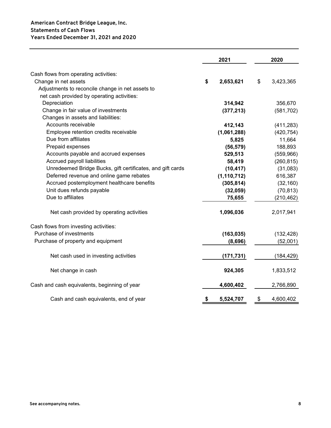|                                                            | 2021            | 2020            |
|------------------------------------------------------------|-----------------|-----------------|
| Cash flows from operating activities:                      |                 |                 |
| Change in net assets                                       | \$<br>2,653,621 | \$<br>3,423,365 |
| Adjustments to reconcile change in net assets to           |                 |                 |
| net cash provided by operating activities:                 |                 |                 |
| Depreciation                                               | 314,942         | 356,670         |
| Change in fair value of investments                        | (377, 213)      | (581, 702)      |
| Changes in assets and liabilities:                         |                 |                 |
| Accounts receivable                                        | 412,143         | (411, 283)      |
| Employee retention credits receivable                      | (1,061,288)     | (420, 754)      |
| Due from affiliates                                        | 5,825           | 11,664          |
| Prepaid expenses                                           | (56, 579)       | 188,893         |
| Accounts payable and accrued expenses                      | 529,513         | (559, 966)      |
| Accrued payroll liabilities                                | 58,419          | (260, 815)      |
| Unredeemed Bridge Bucks, gift certificates, and gift cards | (10, 417)       | (31,083)        |
| Deferred revenue and online game rebates                   | (1, 110, 712)   | 616,387         |
| Accrued postemployment healthcare benefits                 | (305, 814)      | (32, 160)       |
| Unit dues refunds payable                                  | (32, 059)       | (70, 813)       |
| Due to affiliates                                          | 75,655          | (210, 462)      |
| Net cash provided by operating activities                  | 1,096,036       | 2,017,941       |
| Cash flows from investing activities:                      |                 |                 |
| Purchase of investments                                    | (163, 035)      | (132, 428)      |
| Purchase of property and equipment                         | (8,696)         | (52,001)        |
| Net cash used in investing activities                      | (171, 731)      | (184, 429)      |
| Net change in cash                                         | 924,305         | 1,833,512       |
| Cash and cash equivalents, beginning of year               | 4,600,402       | 2,766,890       |
| Cash and cash equivalents, end of year                     | \$<br>5,524,707 | \$<br>4,600,402 |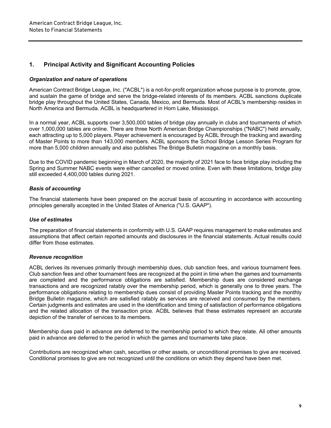# **1. Principal Activity and Significant Accounting Policies**

#### *Organization and nature of operations*

American Contract Bridge League, Inc. ("ACBL") is a not-for-profit organization whose purpose is to promote, grow, and sustain the game of bridge and serve the bridge-related interests of its members. ACBL sanctions duplicate bridge play throughout the United States, Canada, Mexico, and Bermuda. Most of ACBL's membership resides in North America and Bermuda. ACBL is headquartered in Horn Lake, Mississippi.

In a normal year, ACBL supports over 3,500,000 tables of bridge play annually in clubs and tournaments of which over 1,000,000 tables are online. There are three North American Bridge Championships ("NABC") held annually, each attracting up to 5,000 players. Player achievement is encouraged by ACBL through the tracking and awarding of Master Points to more than 143,000 members. ACBL sponsors the School Bridge Lesson Series Program for more than 5,000 children annually and also publishes The Bridge Bulletin magazine on a monthly basis.

Due to the COVID pandemic beginning in March of 2020, the majority of 2021 face to face bridge play including the Spring and Summer NABC events were either cancelled or moved online. Even with these limitations, bridge play still exceeded 4,400,000 tables during 2021.

#### *Basis of accounting*

The financial statements have been prepared on the accrual basis of accounting in accordance with accounting principles generally accepted in the United States of America ("U.S. GAAP").

#### *Use of estimates*

The preparation of financial statements in conformity with U.S. GAAP requires management to make estimates and assumptions that affect certain reported amounts and disclosures in the financial statements. Actual results could differ from those estimates.

#### *Revenue recognition*

ACBL derives its revenues primarily through membership dues, club sanction fees, and various tournament fees. Club sanction fees and other tournament fees are recognized at the point in time when the games and tournaments are completed and the performance obligations are satisfied. Membership dues are considered exchange transactions and are recognized ratably over the membership period, which is generally one to three years. The performance obligations relating to membership dues consist of providing Master Points tracking and the monthly Bridge Bulletin magazine, which are satisfied ratably as services are received and consumed by the members. Certain judgments and estimates are used in the identification and timing of satisfaction of performance obligations and the related allocation of the transaction price. ACBL believes that these estimates represent an accurate depiction of the transfer of services to its members.

Membership dues paid in advance are deferred to the membership period to which they relate. All other amounts paid in advance are deferred to the period in which the games and tournaments take place.

Contributions are recognized when cash, securities or other assets, or unconditional promises to give are received. Conditional promises to give are not recognized until the conditions on which they depend have been met.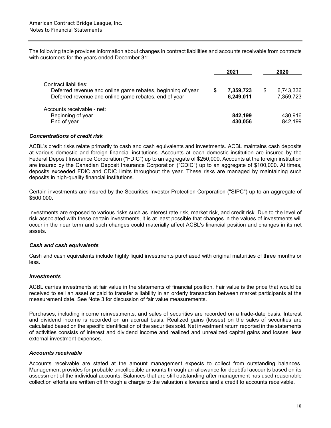The following table provides information about changes in contract liabilities and accounts receivable from contracts with customers for the years ended December 31:

|                                                                                      | 2021      | 2020            |
|--------------------------------------------------------------------------------------|-----------|-----------------|
| Contract liabilities:<br>Deferred revenue and online game rebates, beginning of year | 7,359,723 | \$<br>6,743,336 |
| Deferred revenue and online game rebates, end of year                                | 6,249,011 | 7,359,723       |
| Accounts receivable - net:                                                           |           |                 |
| Beginning of year                                                                    | 842,199   | 430,916         |
| End of year                                                                          | 430,056   | 842,199         |

#### *Concentrations of credit risk*

ACBL's credit risks relate primarily to cash and cash equivalents and investments. ACBL maintains cash deposits at various domestic and foreign financial institutions. Accounts at each domestic institution are insured by the Federal Deposit Insurance Corporation ("FDIC") up to an aggregate of \$250,000. Accounts at the foreign institution are insured by the Canadian Deposit Insurance Corporation ("CDIC") up to an aggregate of \$100,000. At times, deposits exceeded FDIC and CDIC limits throughout the year. These risks are managed by maintaining such deposits in high-quality financial institutions.

Certain investments are insured by the Securities Investor Protection Corporation ("SIPC") up to an aggregate of \$500,000.

Investments are exposed to various risks such as interest rate risk, market risk, and credit risk. Due to the level of risk associated with these certain investments, it is at least possible that changes in the values of investments will occur in the near term and such changes could materially affect ACBL's financial position and changes in its net assets.

#### *Cash and cash equivalents*

Cash and cash equivalents include highly liquid investments purchased with original maturities of three months or less.

#### *Investments*

ACBL carries investments at fair value in the statements of financial position. Fair value is the price that would be received to sell an asset or paid to transfer a liability in an orderly transaction between market participants at the measurement date. See Note 3 for discussion of fair value measurements.

Purchases, including income reinvestments, and sales of securities are recorded on a trade-date basis. Interest and dividend income is recorded on an accrual basis. Realized gains (losses) on the sales of securities are calculated based on the specific identification of the securities sold. Net investment return reported in the statements of activities consists of interest and dividend income and realized and unrealized capital gains and losses, less external investment expenses.

#### *Accounts receivable*

Accounts receivable are stated at the amount management expects to collect from outstanding balances. Management provides for probable uncollectible amounts through an allowance for doubtful accounts based on its assessment of the individual accounts. Balances that are still outstanding after management has used reasonable collection efforts are written off through a charge to the valuation allowance and a credit to accounts receivable.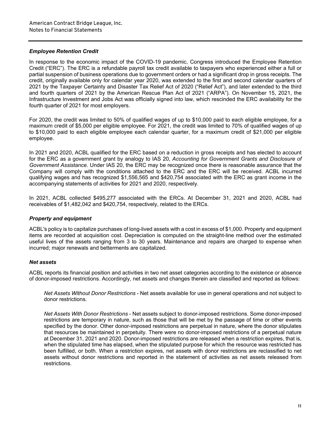#### *Employee Retention Credit*

In response to the economic impact of the COVID-19 pandemic, Congress introduced the Employee Retention Credit ("ERC"). The ERC is a refundable payroll tax credit available to taxpayers who experienced either a full or partial suspension of business operations due to government orders or had a significant drop in gross receipts. The credit, originally available only for calendar year 2020, was extended to the first and second calendar quarters of 2021 by the Taxpayer Certainty and Disaster Tax Relief Act of 2020 ("Relief Act"), and later extended to the third and fourth quarters of 2021 by the American Rescue Plan Act of 2021 ("ARPA"). On November 15, 2021, the Infrastructure Investment and Jobs Act was officially signed into law, which rescinded the ERC availability for the fourth quarter of 2021 for most employers.

For 2020, the credit was limited to 50% of qualified wages of up to \$10,000 paid to each eligible employee, for a maximum credit of \$5,000 per eligible employee. For 2021, the credit was limited to 70% of qualified wages of up to \$10,000 paid to each eligible employee each calendar quarter, for a maximum credit of \$21,000 per eligible employee.

In 2021 and 2020, ACBL qualified for the ERC based on a reduction in gross receipts and has elected to account for the ERC as a government grant by analogy to IAS 20, *Accounting for Government Grants and Disclosure of Government Assistance*. Under IAS 20, the ERC may be recognized once there is reasonable assurance that the Company will comply with the conditions attached to the ERC and the ERC will be received. ACBL incurred qualifying wages and has recognized \$1,556,565 and \$420,754 associated with the ERC as grant income in the accompanying statements of activities for 2021 and 2020, respectively.

In 2021, ACBL collected \$495,277 associated with the ERCs. At December 31, 2021 and 2020, ACBL had receivables of \$1,482,042 and \$420,754, respectively, related to the ERCs.

#### *Property and equipment*

ACBL's policy is to capitalize purchases of long-lived assets with a cost in excess of \$1,000. Property and equipment items are recorded at acquisition cost. Depreciation is computed on the straight-line method over the estimated useful lives of the assets ranging from 3 to 30 years. Maintenance and repairs are charged to expense when incurred; major renewals and betterments are capitalized.

#### *Net assets*

ACBL reports its financial position and activities in two net asset categories according to the existence or absence of donor-imposed restrictions. Accordingly, net assets and changes therein are classified and reported as follows:

*Net Assets Without Donor Restrictions* - Net assets available for use in general operations and not subject to donor restrictions.

*Net Assets With Donor Restrictions* - Net assets subject to donor-imposed restrictions. Some donor-imposed restrictions are temporary in nature, such as those that will be met by the passage of time or other events specified by the donor. Other donor-imposed restrictions are perpetual in nature, where the donor stipulates that resources be maintained in perpetuity. There were no donor-imposed restrictions of a perpetual nature at December 31, 2021 and 2020. Donor-imposed restrictions are released when a restriction expires, that is, when the stipulated time has elapsed, when the stipulated purpose for which the resource was restricted has been fulfilled, or both. When a restriction expires, net assets with donor restrictions are reclassified to net assets without donor restrictions and reported in the statement of activities as net assets released from restrictions.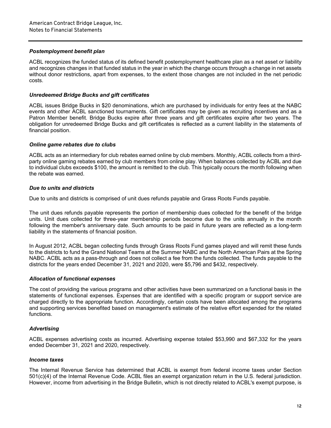#### *Postemployment benefit plan*

ACBL recognizes the funded status of its defined benefit postemployment healthcare plan as a net asset or liability and recognizes changes in that funded status in the year in which the change occurs through a change in net assets without donor restrictions, apart from expenses, to the extent those changes are not included in the net periodic costs.

#### *Unredeemed Bridge Bucks and gift certificates*

ACBL issues Bridge Bucks in \$20 denominations, which are purchased by individuals for entry fees at the NABC events and other ACBL sanctioned tournaments. Gift certificates may be given as recruiting incentives and as a Patron Member benefit. Bridge Bucks expire after three years and gift certificates expire after two years. The obligation for unredeemed Bridge Bucks and gift certificates is reflected as a current liability in the statements of financial position.

#### *Online game rebates due to clubs*

ACBL acts as an intermediary for club rebates earned online by club members. Monthly, ACBL collects from a thirdparty online gaming rebates earned by club members from online play. When balances collected by ACBL and due to individual clubs exceeds \$100, the amount is remitted to the club. This typically occurs the month following when the rebate was earned.

#### *Due to units and districts*

Due to units and districts is comprised of unit dues refunds payable and Grass Roots Funds payable.

The unit dues refunds payable represents the portion of membership dues collected for the benefit of the bridge units. Unit dues collected for three-year membership periods become due to the units annually in the month following the member's anniversary date. Such amounts to be paid in future years are reflected as a long-term liability in the statements of financial position.

In August 2012, ACBL began collecting funds through Grass Roots Fund games played and will remit these funds to the districts to fund the Grand National Teams at the Summer NABC and the North American Pairs at the Spring NABC. ACBL acts as a pass-through and does not collect a fee from the funds collected. The funds payable to the districts for the years ended December 31, 2021 and 2020, were \$5,796 and \$432, respectively.

#### *Allocation of functional expenses*

The cost of providing the various programs and other activities have been summarized on a functional basis in the statements of functional expenses. Expenses that are identified with a specific program or support service are charged directly to the appropriate function. Accordingly, certain costs have been allocated among the programs and supporting services benefited based on management's estimate of the relative effort expended for the related functions.

#### *Advertising*

ACBL expenses advertising costs as incurred. Advertising expense totaled \$53,990 and \$67,332 for the years ended December 31, 2021 and 2020, respectively.

#### *Income taxes*

The Internal Revenue Service has determined that ACBL is exempt from federal income taxes under Section 501(c)(4) of the Internal Revenue Code. ACBL files an exempt organization return in the U.S. federal jurisdiction. However, income from advertising in the Bridge Bulletin, which is not directly related to ACBL's exempt purpose, is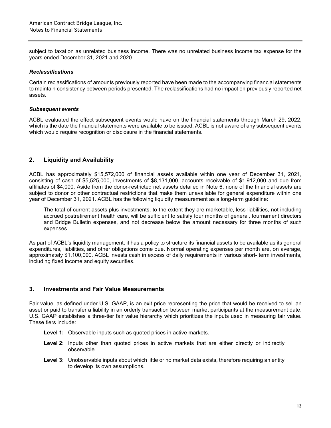subject to taxation as unrelated business income. There was no unrelated business income tax expense for the years ended December 31, 2021 and 2020.

#### *Reclassifications*

Certain reclassifications of amounts previously reported have been made to the accompanying financial statements to maintain consistency between periods presented. The reclassifications had no impact on previously reported net assets.

#### *Subsequent events*

ACBL evaluated the effect subsequent events would have on the financial statements through March 29, 2022, which is the date the financial statements were available to be issued. ACBL is not aware of any subsequent events which would require recognition or disclosure in the financial statements.

## **2. Liquidity and Availability**

ACBL has approximately \$15,572,000 of financial assets available within one year of December 31, 2021, consisting of cash of \$5,525,000, investments of \$8,131,000, accounts receivable of \$1,912,000 and due from affiliates of \$4,000. Aside from the donor-restricted net assets detailed in Note 6, none of the financial assets are subject to donor or other contractual restrictions that make them unavailable for general expenditure within one year of December 31, 2021. ACBL has the following liquidity measurement as a long-term guideline:

The total of current assets plus investments, to the extent they are marketable, less liabilities, not including accrued postretirement health care, will be sufficient to satisfy four months of general, tournament directors and Bridge Bulletin expenses, and not decrease below the amount necessary for three months of such expenses.

As part of ACBL's liquidity management, it has a policy to structure its financial assets to be available as its general expenditures, liabilities, and other obligations come due. Normal operating expenses per month are, on average, approximately \$1,100,000. ACBL invests cash in excess of daily requirements in various short- term investments, including fixed income and equity securities.

### **3. Investments and Fair Value Measurements**

Fair value, as defined under U.S. GAAP, is an exit price representing the price that would be received to sell an asset or paid to transfer a liability in an orderly transaction between market participants at the measurement date. U.S. GAAP establishes a three-tier fair value hierarchy which prioritizes the inputs used in measuring fair value. These tiers include:

- **Level 1:** Observable inputs such as quoted prices in active markets.
- Level 2: Inputs other than quoted prices in active markets that are either directly or indirectly observable.
- Level 3: Unobservable inputs about which little or no market data exists, therefore requiring an entity to develop its own assumptions.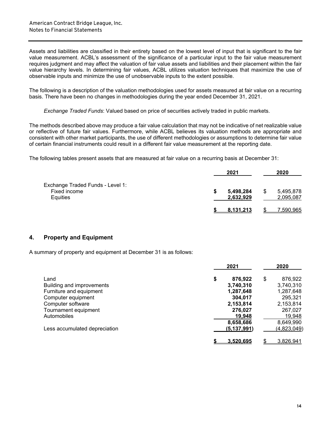Assets and liabilities are classified in their entirety based on the lowest level of input that is significant to the fair value measurement. ACBL's assessment of the significance of a particular input to the fair value measurement requires judgment and may affect the valuation of fair value assets and liabilities and their placement within the fair value hierarchy levels. In determining fair values, ACBL utilizes valuation techniques that maximize the use of observable inputs and minimize the use of unobservable inputs to the extent possible.

The following is a description of the valuation methodologies used for assets measured at fair value on a recurring basis. There have been no changes in methodologies during the year ended December 31, 2021.

*Exchange Traded Funds*: Valued based on price of securities actively traded in public markets.

The methods described above may produce a fair value calculation that may not be indicative of net realizable value or reflective of future fair values. Furthermore, while ACBL believes its valuation methods are appropriate and consistent with other market participants, the use of different methodologies or assumptions to determine fair value of certain financial instruments could result in a different fair value measurement at the reporting date.

The following tables present assets that are measured at fair value on a recurring basis at December 31:

|                                                              |   | 2021                   | 2020                         |
|--------------------------------------------------------------|---|------------------------|------------------------------|
| Exchange Traded Funds - Level 1:<br>Fixed income<br>Equities | S | 5,498,284<br>2,632,929 | \$<br>5,495,878<br>2,095,087 |
|                                                              |   | 8.131.213              | ,590,965                     |

# **4. Property and Equipment**

A summary of property and equipment at December 31 is as follows:

|                               | 2021             |        | 2020        |
|-------------------------------|------------------|--------|-------------|
| Land                          | \$<br>876,922    | \$     | 876,922     |
| Building and improvements     | 3,740,310        |        | 3,740,310   |
| Furniture and equipment       | 1,287,648        |        | 1,287,648   |
| Computer equipment            | 304,017          |        | 295,321     |
| Computer software             | 2,153,814        |        | 2,153,814   |
| Tournament equipment          | 276,027          |        | 267,027     |
| Automobiles                   |                  | 19.948 | 19,948      |
|                               | 8,658,686        |        | 8,649,990   |
| Less accumulated depreciation | (5,137,991)      |        | (4,823,049) |
|                               | <u>3.520.695</u> |        | 3,826,941   |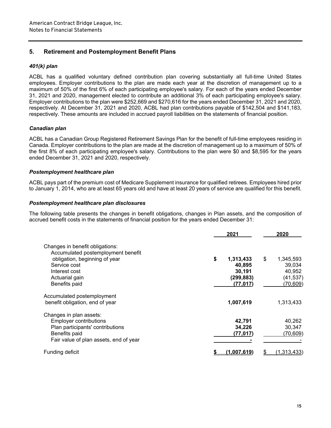# **5. Retirement and Postemployment Benefit Plans**

#### *401(k) plan*

ACBL has a qualified voluntary defined contribution plan covering substantially all full-time United States employees. Employer contributions to the plan are made each year at the discretion of management up to a maximum of 50% of the first 6% of each participating employee's salary. For each of the years ended December 31, 2021 and 2020, management elected to contribute an additional 3% of each participating employee's salary. Employer contributions to the plan were \$252,669 and \$270,616 for the years ended December 31, 2021 and 2020, respectively. At December 31, 2021 and 2020, ACBL had plan contributions payable of \$142,504 and \$141,183, respectively. These amounts are included in accrued payroll liabilities on the statements of financial position.

#### *Canadian plan*

ACBL has a Canadian Group Registered Retirement Savings Plan for the benefit of full-time employees residing in Canada. Employer contributions to the plan are made at the discretion of management up to a maximum of 50% of the first 8% of each participating employee's salary. Contributions to the plan were \$0 and \$8,595 for the years ended December 31, 2021 and 2020, respectively.

#### *Postemployment healthcare plan*

ACBL pays part of the premium cost of Medicare Supplement insurance for qualified retirees. Employees hired prior to January 1, 2014, who are at least 65 years old and have at least 20 years of service are qualified for this benefit.

#### *Postemployment healthcare plan disclosures*

The following table presents the changes in benefit obligations, changes in Plan assets, and the composition of accrued benefit costs in the statements of financial position for the years ended December 31:

|                                                                       | 2021            | 2020               |
|-----------------------------------------------------------------------|-----------------|--------------------|
| Changes in benefit obligations:<br>Accumulated postemployment benefit |                 |                    |
| obligation, beginning of year                                         | \$<br>1,313,433 | \$<br>1,345,593    |
| Service cost                                                          | 40,895          | 39,034             |
| Interest cost                                                         | 30,191          | 40,952             |
| Actuarial gain                                                        | (299, 883)      | (41, 537)          |
| Benefits paid                                                         | (77, 017)       | (70, 609)          |
| Accumulated postemployment                                            |                 |                    |
| benefit obligation, end of year                                       | 1,007,619       | 1,313,433          |
| Changes in plan assets:                                               |                 |                    |
| <b>Employer contributions</b>                                         | 42,791          | 40,262             |
| Plan participants' contributions                                      | 34,226          | 30,347             |
| Benefits paid                                                         | (77,017)        | (70, 609)          |
| Fair value of plan assets, end of year                                |                 |                    |
| Funding deficit                                                       | (1.007.619)     | <u>(1,313,433)</u> |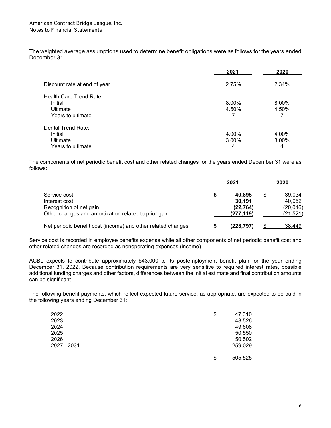The weighted average assumptions used to determine benefit obligations were as follows for the years ended December 31:

| 2021  | 2020                    |
|-------|-------------------------|
| 2.75% | 2.34%                   |
|       |                         |
| 8.00% | 8.00%                   |
|       | 4.50%                   |
| 7     |                         |
|       |                         |
|       | 4.00%                   |
|       | 3.00%                   |
|       |                         |
|       | 4.50%<br>4.00%<br>3.00% |

The components of net periodic benefit cost and other related changes for the years ended December 31 were as follows:

|                                                                                 | 2021                    |    | 2020                   |  |
|---------------------------------------------------------------------------------|-------------------------|----|------------------------|--|
| Service cost<br>Interest cost                                                   | 40.895<br>30,191        | \$ | 39.034<br>40.952       |  |
| Recognition of net gain<br>Other changes and amortization related to prior gain | (22, 764)<br>(277, 119) |    | (20, 016)<br>(21, 521) |  |
| Net periodic benefit cost (income) and other related changes                    | <u>(228,797)</u>        |    | 38,449                 |  |

Service cost is recorded in employee benefits expense while all other components of net periodic benefit cost and other related changes are recorded as nonoperating expenses (income).

ACBL expects to contribute approximately \$43,000 to its postemployment benefit plan for the year ending December 31, 2022. Because contribution requirements are very sensitive to required interest rates, possible additional funding charges and other factors, differences between the initial estimate and final contribution amounts can be significant.

The following benefit payments, which reflect expected future service, as appropriate, are expected to be paid in the following years ending December 31:

| 2022 |             | \$<br>47,310  |
|------|-------------|---------------|
| 2023 |             | 48,526        |
| 2024 |             | 49,608        |
| 2025 |             | 50,550        |
| 2026 |             | 50,502        |
|      | 2027 - 2031 | 259,029       |
|      |             |               |
|      |             | \$<br>505,525 |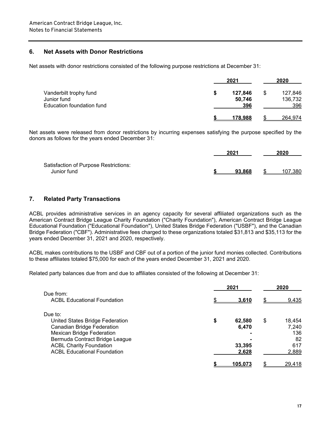## **6. Net Assets with Donor Restrictions**

Net assets with donor restrictions consisted of the following purpose restrictions at December 31:

|                           |   | 2021    |    | 2020    |  |
|---------------------------|---|---------|----|---------|--|
| Vanderbilt trophy fund    | S | 127,846 | \$ | 127,846 |  |
| Junior fund               |   | 50,746  |    | 136,732 |  |
| Education foundation fund |   | 396     |    | 396     |  |
|                           |   | 178,988 |    | 264,974 |  |

Net assets were released from donor restrictions by incurring expenses satisfying the purpose specified by the donors as follows for the years ended December 31:

|                                       | 2021   |    | 2020    |  |
|---------------------------------------|--------|----|---------|--|
| Satisfaction of Purpose Restrictions: |        |    |         |  |
| Junior fund                           | 93.868 | S. | 107.380 |  |

#### **7. Related Party Transactions**

ACBL provides administrative services in an agency capacity for several affiliated organizations such as the American Contract Bridge League Charity Foundation ("Charity Foundation"), American Contract Bridge League Educational Foundation (''Educational Foundation"), United States Bridge Federation ("USBF"), and the Canadian Bridge Federation ("CBF"). Administrative fees charged to these organizations totaled \$31,813 and \$35,113 for the years ended December 31, 2021 and 2020, respectively.

ACBL makes contributions to the USBF and CBF out of a portion of the junior fund monies collected. Contributions to these affiliates totaled \$75,000 for each of the years ended December 31, 2021 and 2020.

Related party balances due from and due to affiliates consisted of the following at December 31:

|                                                 | 2021 |                 | 2020 |               |
|-------------------------------------------------|------|-----------------|------|---------------|
| Due from:<br><b>ACBL Educational Foundation</b> |      | <u>3.610</u>    | \$   | 9,435         |
| Due to:                                         |      |                 |      |               |
| United States Bridge Federation                 | \$   | 62,580          | \$   | 18,454        |
| <b>Canadian Bridge Federation</b>               |      | 6,470           |      | 7,240         |
| <b>Mexican Bridge Federation</b>                |      |                 |      | 136           |
| Bermuda Contract Bridge League                  |      |                 |      | 82            |
| <b>ACBL Charity Foundation</b>                  |      | 33,395          |      | 617           |
| <b>ACBL Educational Foundation</b>              |      | 2,628           |      | 2,889         |
|                                                 |      | <u> 105.073</u> |      | <u>29,418</u> |